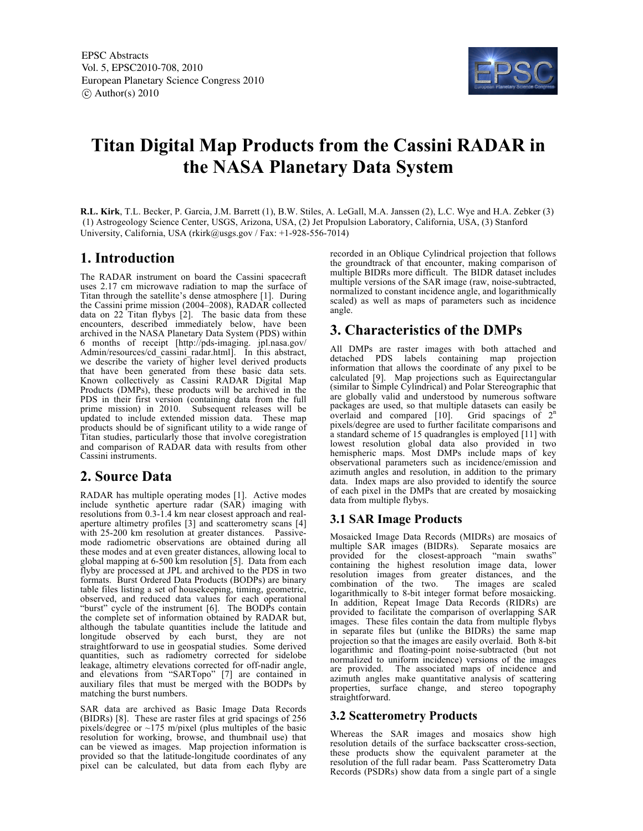

# **Titan Digital Map Products from the Cassini RADAR in the NASA Planetary Data System**

**R.L. Kirk**, T.L. Becker, P. Garcia, J.M. Barrett (1), B.W. Stiles, A. LeGall, M.A. Janssen (2), L.C. Wye and H.A. Zebker (3) (1) Astrogeology Science Center, USGS, Arizona, USA, (2) Jet Propulsion Laboratory, California, USA, (3) Stanford University, California, USA (rkirk@usgs.gov / Fax: +1-928-556-7014)

# **1. Introduction**

The RADAR instrument on board the Cassini spacecraft uses 2.17 cm microwave radiation to map the surface of Titan through the satellite's dense atmosphere [1]. During the Cassini prime mission (2004–2008), RADAR collected data on 22 Titan flybys [2]. The basic data from these encounters, described immediately below, have been archived in the NASA Planetary Data System (PDS) within 6 months of receipt [http://pds-imaging. jpl.nasa.gov/ Admin/resources/cd cassini radar.html]. In this abstract, we describe the variety of higher level derived products that have been generated from these basic data sets. Known collectively as Cassini RADAR Digital Map Products (DMPs), these products will be archived in the PDS in their first version (containing data from the full prime mission) in 2010. Subsequent releases will be updated to include extended mission data. These map products should be of significant utility to a wide range of Titan studies, particularly those that involve coregistration and comparison of RADAR data with results from other Cassini instruments.

# **2. Source Data**

RADAR has multiple operating modes [1]. Active modes include synthetic aperture radar (SAR) imaging with resolutions from 0.3-1.4 km near closest approach and realaperture altimetry profiles [3] and scatterometry scans [4] with 25-200 km resolution at greater distances. Passivemode radiometric observations are obtained during all these modes and at even greater distances, allowing local to global mapping at 6-500 km resolution [5]. Data from each flyby are processed at JPL and archived to the PDS in two formats. Burst Ordered Data Products (BODPs) are binary table files listing a set of housekeeping, timing, geometric, observed, and reduced data values for each operational "burst" cycle of the instrument [6]. The BODPs contain the complete set of information obtained by RADAR but, although the tabulate quantities include the latitude and longitude observed by each burst, they are not straightforward to use in geospatial studies. Some derived quantities, such as radiometry corrected for sidelobe leakage, altimetry elevations corrected for off-nadir angle, and elevations from "SARTopo" [7] are contained in auxiliary files that must be merged with the BODPs by matching the burst numbers.

SAR data are archived as Basic Image Data Records (BIDRs) [8]. These are raster files at grid spacings of 256 pixels/degree or  $\sim$ 175 m/pixel (plus multiples of the basic resolution for working, browse, and thumbnail use) that can be viewed as images. Map projection information is provided so that the latitude-longitude coordinates of any pixel can be calculated, but data from each flyby are

recorded in an Oblique Cylindrical projection that follows the groundtrack of that encounter, making comparison of multiple BIDRs more difficult. The BIDR dataset includes multiple versions of the SAR image (raw, noise-subtracted, normalized to constant incidence angle, and logarithmically scaled) as well as maps of parameters such as incidence angle.

# **3. Characteristics of the DMPs**

All DMPs are raster images with both attached and detached PDS labels containing map projection information that allows the coordinate of any pixel to be calculated [9]. Map projections such as Equirectangular (similar to Simple Cylindrical) and Polar Stereographic that are globally valid and understood by numerous software packages are used, so that multiple datasets can easily be overlaid and compared  $[10]$ . Grid spacings of  $2<sup>n</sup>$ pixels/degree are used to further facilitate comparisons and a standard scheme of 15 quadrangles is employed [11] with lowest resolution global data also provided in two hemispheric maps. Most DMPs include maps of key observational parameters such as incidence/emission and azimuth angles and resolution, in addition to the primary data. Index maps are also provided to identify the source of each pixel in the DMPs that are created by mosaicking data from multiple flybys.

## **3.1 SAR Image Products**

Mosaicked Image Data Records (MIDRs) are mosaics of multiple SAR images (BIDRs). Separate mosaics are provided for the closest-approach "main swaths" containing the highest resolution image data, lower resolution images from greater distances, and the combination of the two. The images are scaled logarithmically to 8-bit integer format before mosaicking. In addition, Repeat Image Data Records (RIDRs) are provided to facilitate the comparison of overlapping SAR images. These files contain the data from multiple flybys in separate files but (unlike the BIDRs) the same map projection so that the images are easily overlaid. Both 8-bit logarithmic and floating-point noise-subtracted (but not normalized to uniform incidence) versions of the images are provided. The associated maps of incidence and azimuth angles make quantitative analysis of scattering properties, surface change, and stereo topography straightforward.

## **3.2 Scatterometry Products**

Whereas the SAR images and mosaics show high resolution details of the surface backscatter cross-section, these products show the equivalent parameter at the resolution of the full radar beam. Pass Scatterometry Data Records (PSDRs) show data from a single part of a single